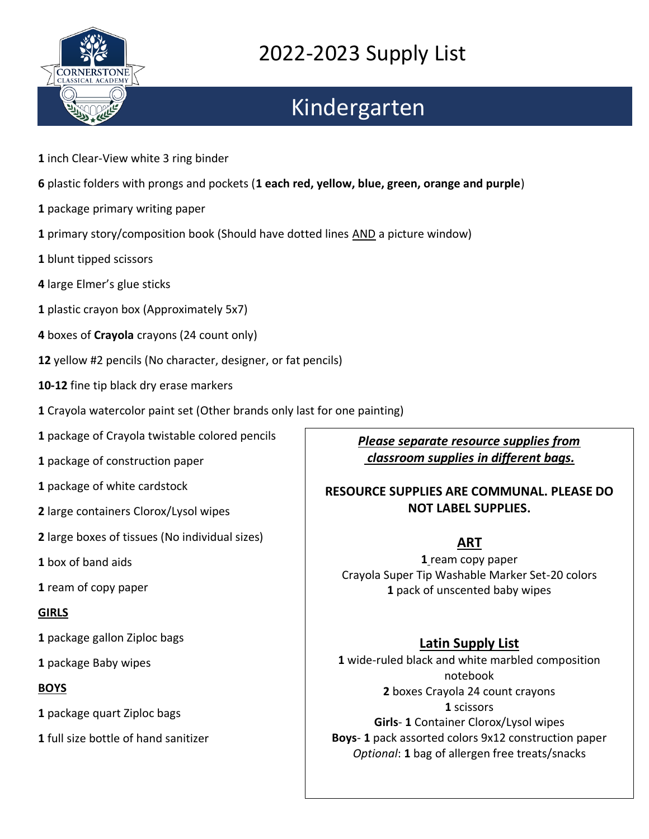

# Kindergarten

- inch Clear-View white 3 ring binder
- plastic folders with prongs and pockets (**1 each red, yellow, blue, green, orange and purple**)
- package primary writing paper
- primary story/composition book (Should have dotted lines AND a picture window)
- blunt tipped scissors
- large Elmer's glue sticks
- plastic crayon box (Approximately 5x7)
- boxes of **Crayola** crayons (24 count only)
- yellow #2 pencils (No character, designer, or fat pencils)
- **10-12** fine tip black dry erase markers
- Crayola watercolor paint set (Other brands only last for one painting)
- package of Crayola twistable colored pencils
- package of construction paper
- package of white cardstock
- large containers Clorox/Lysol wipes
- large boxes of tissues (No individual sizes)
- box of band aids
- ream of copy paper

#### **GIRLS**

- package gallon Ziploc bags
- package Baby wipes

#### **BOYS**

package quart Ziploc bags

full size bottle of hand sanitizer

*Please separate resource supplies from classroom supplies in different bags.*

#### **RESOURCE SUPPLIES ARE COMMUNAL. PLEASE DO NOT LABEL SUPPLIES.**

#### **ART**

 ream copy paper Crayola Super Tip Washable Marker Set-20 colors pack of unscented baby wipes

### **Latin Supply List**

 wide-ruled black and white marbled composition notebook boxes Crayola 24 count crayons scissors **Girls**- **1** Container Clorox/Lysol wipes **Boys**- **1** pack assorted colors 9x12 construction paper *Optional*: **1** bag of allergen free treats/snacks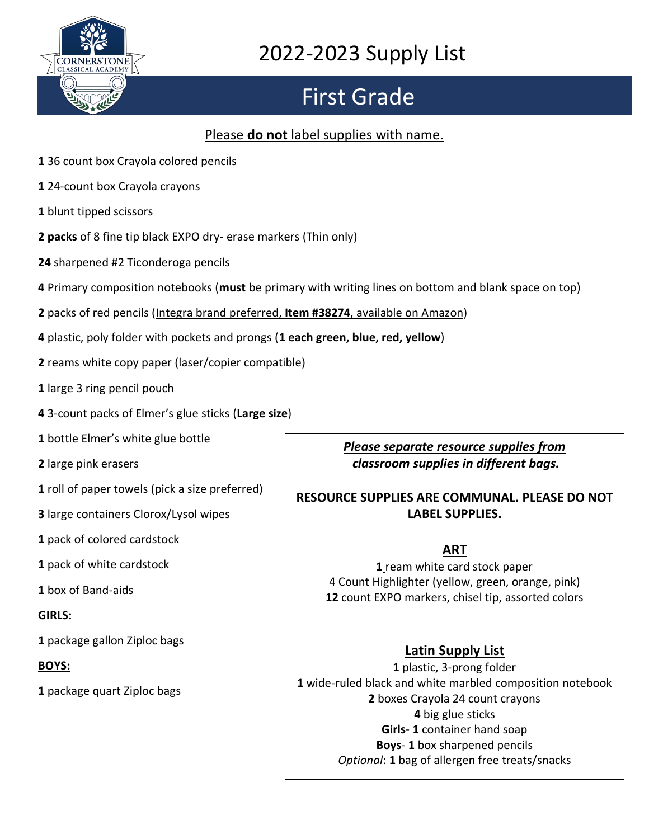

# First Grade

### Please **do not** label supplies with name.

- 36 count box Crayola colored pencils
- 24-count box Crayola crayons
- blunt tipped scissors
- **packs** of 8 fine tip black EXPO dry- erase markers (Thin only)
- sharpened #2 Ticonderoga pencils
- Primary composition notebooks (**must** be primary with writing lines on bottom and blank space on top)
- packs of red pencils (Integra brand preferred, **Item #38274**, available on Amazon)
- plastic, poly folder with pockets and prongs (**1 each green, blue, red, yellow**)
- reams white copy paper (laser/copier compatible)
- large 3 ring pencil pouch
- 3-count packs of Elmer's glue sticks (**Large size**)
- bottle Elmer's white glue bottle
- large pink erasers
- roll of paper towels (pick a size preferred)
- large containers Clorox/Lysol wipes
- pack of colored cardstock
- pack of white cardstock
- box of Band-aids

#### **GIRLS:**

package gallon Ziploc bags

#### **BOYS:**

package quart Ziploc bags

*Please separate resource supplies from classroom supplies in different bags.* 

#### **RESOURCE SUPPLIES ARE COMMUNAL. PLEASE DO NOT LABEL SUPPLIES.**

### **ART**

 ream white card stock paper 4 Count Highlighter (yellow, green, orange, pink) count EXPO markers, chisel tip, assorted colors

### **Latin Supply List**

 plastic, 3-prong folder wide-ruled black and white marbled composition notebook boxes Crayola 24 count crayons big glue sticks **Girls- 1** container hand soap **Boys**- **1** box sharpened pencils *Optional*: **1** bag of allergen free treats/snacks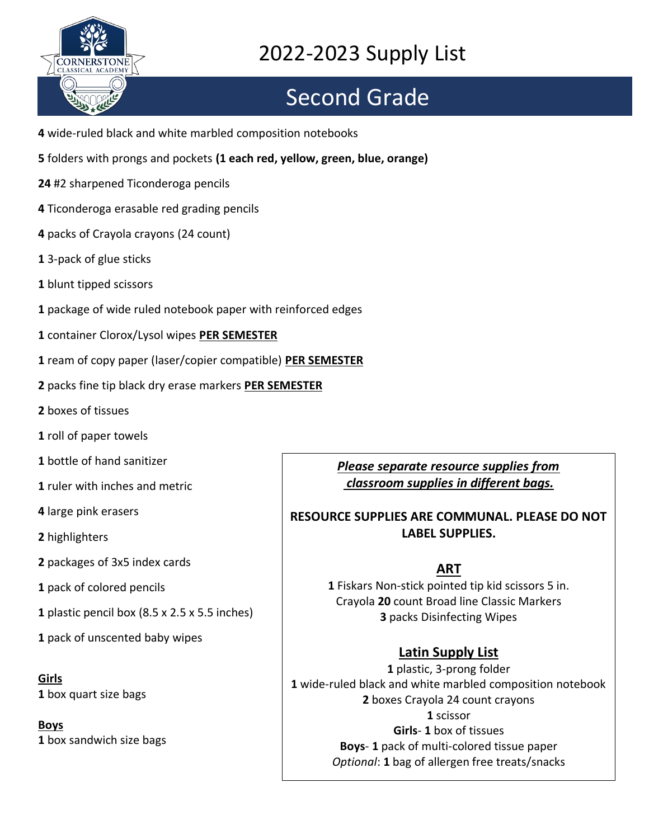

# Second Grade

- wide-ruled black and white marbled composition notebooks
- folders with prongs and pockets **(1 each red, yellow, green, blue, orange)**
- #2 sharpened Ticonderoga pencils
- Ticonderoga erasable red grading pencils
- packs of Crayola crayons (24 count)
- 3-pack of glue sticks
- blunt tipped scissors
- package of wide ruled notebook paper with reinforced edges
- container Clorox/Lysol wipes **PER SEMESTER**
- ream of copy paper (laser/copier compatible) **PER SEMESTER**
- packs fine tip black dry erase markers **PER SEMESTER**
- boxes of tissues
- roll of paper towels
- bottle of hand sanitizer
- ruler with inches and metric
- large pink erasers
- highlighters
- packages of 3x5 index cards
- pack of colored pencils
- plastic pencil box (8.5 x 2.5 x 5.5 inches)
- pack of unscented baby wipes

**Girls**  box quart size bags

**Boys**  box sandwich size bags *Please separate resource supplies from classroom supplies in different bags.* 

#### **RESOURCE SUPPLIES ARE COMMUNAL. PLEASE DO NOT LABEL SUPPLIES.**

#### **ART**

 Fiskars Non-stick pointed tip kid scissors 5 in. Crayola **20** count Broad line Classic Markers packs Disinfecting Wipes

#### **Latin Supply List**

 plastic, 3-prong folder wide-ruled black and white marbled composition notebook boxes Crayola 24 count crayons scissor **Girls**- **1** box of tissues **Boys**- **1** pack of multi-colored tissue paper *Optional*: **1** bag of allergen free treats/snacks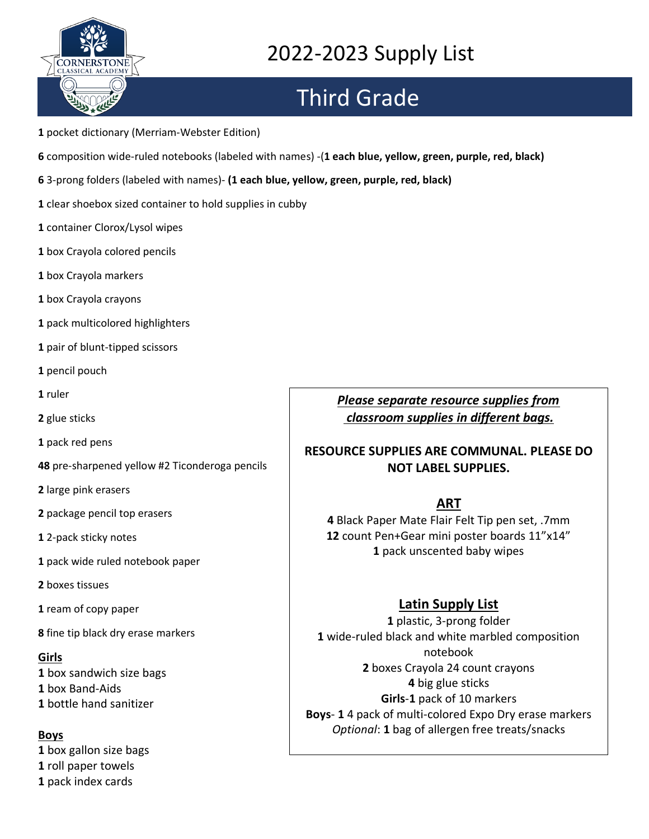

# Third Grade

- pocket dictionary (Merriam-Webster Edition)
- composition wide-ruled notebooks (labeled with names) -(**1 each blue, yellow, green, purple, red, black)**
- 3-prong folders (labeled with names)- **(1 each blue, yellow, green, purple, red, black)**
- clear shoebox sized container to hold supplies in cubby
- container Clorox/Lysol wipes
- box Crayola colored pencils
- box Crayola markers
- box Crayola crayons
- pack multicolored highlighters
- pair of blunt-tipped scissors
- pencil pouch
- ruler
- glue sticks
- pack red pens
- pre-sharpened yellow #2 Ticonderoga pencils
- large pink erasers
- package pencil top erasers
- 2-pack sticky notes
- pack wide ruled notebook paper
- boxes tissues
- ream of copy paper
- fine tip black dry erase markers

#### **Girls**

 box sandwich size bags box Band-Aids bottle hand sanitizer

#### **Boys**

 box gallon size bags roll paper towels pack index cards

#### *Please separate resource supplies from classroom supplies in different bags.*

#### **RESOURCE SUPPLIES ARE COMMUNAL. PLEASE DO NOT LABEL SUPPLIES.**

#### **ART**

 Black Paper Mate Flair Felt Tip pen set, .7mm count Pen+Gear mini poster boards 11"x14" pack unscented baby wipes

### **Latin Supply List**

 plastic, 3-prong folder wide-ruled black and white marbled composition notebook boxes Crayola 24 count crayons big glue sticks **Girls**-**1** pack of 10 markers **Boys**- **1** 4 pack of multi-colored Expo Dry erase markers *Optional*: **1** bag of allergen free treats/snacks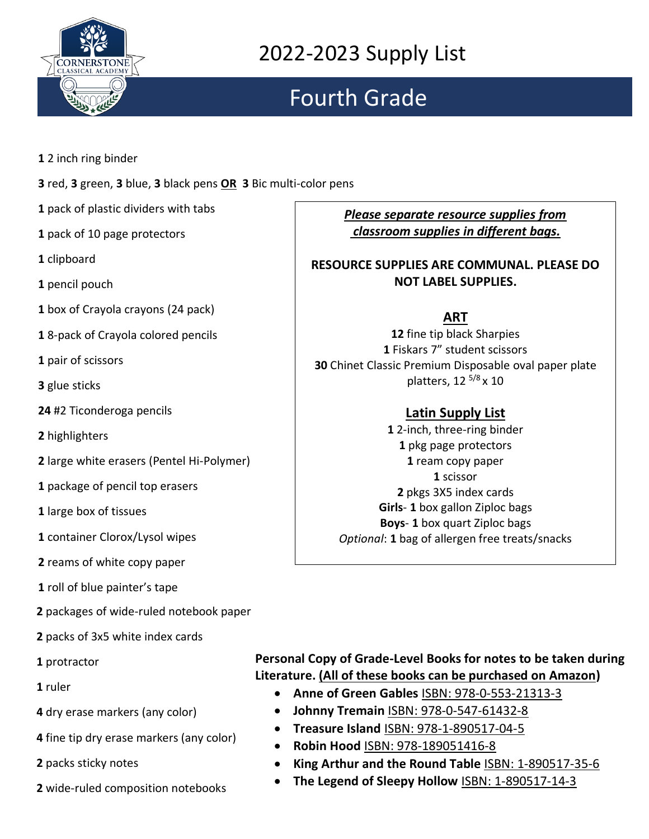

# Fourth Grade

- 2 inch ring binder
- red, **3** green, **3** blue, **3** black pens **OR 3** Bic multi-color pens
- pack of plastic dividers with tabs
- pack of 10 page protectors
- clipboard
- pencil pouch
- box of Crayola crayons (24 pack)
- 8-pack of Crayola colored pencils
- pair of scissors
- glue sticks
- #2 Ticonderoga pencils
- highlighters
- large white erasers (Pentel Hi-Polymer)
- package of pencil top erasers
- large box of tissues
- container Clorox/Lysol wipes
- reams of white copy paper
- roll of blue painter's tape
- packages of wide-ruled notebook paper
- packs of 3x5 white index cards
- protractor
- ruler
- dry erase markers (any color)
- fine tip dry erase markers (any color)
- packs sticky notes
- wide-ruled composition notebooks

*Please separate resource supplies from classroom supplies in different bags.* 

**RESOURCE SUPPLIES ARE COMMUNAL. PLEASE DO NOT LABEL SUPPLIES.**

### **ART**

 fine tip black Sharpies Fiskars 7" student scissors Chinet Classic Premium Disposable oval paper plate platters, 12 <sup>5/8</sup> x 10

### **Latin Supply List**

 2-inch, three-ring binder pkg page protectors ream copy paper scissor pkgs 3X5 index cards **Girls**- **1** box gallon Ziploc bags **Boys**- **1** box quart Ziploc bags *Optional*: **1** bag of allergen free treats/snacks

### **Personal Copy of Grade-Level Books for notes to be taken during Literature. (All of these books can be purchased on Amazon)**

- **Anne of Green Gables** ISBN: 978-0-553-21313-3
- **Johnny Tremain** ISBN: 978-0-547-61432-8
- **Treasure Island** ISBN: 978-1-890517-04-5
- **Robin Hood** ISBN: 978-189051416-8
- **King Arthur and the Round Table** ISBN: 1-890517-35-6
- **The Legend of Sleepy Hollow** ISBN: 1-890517-14-3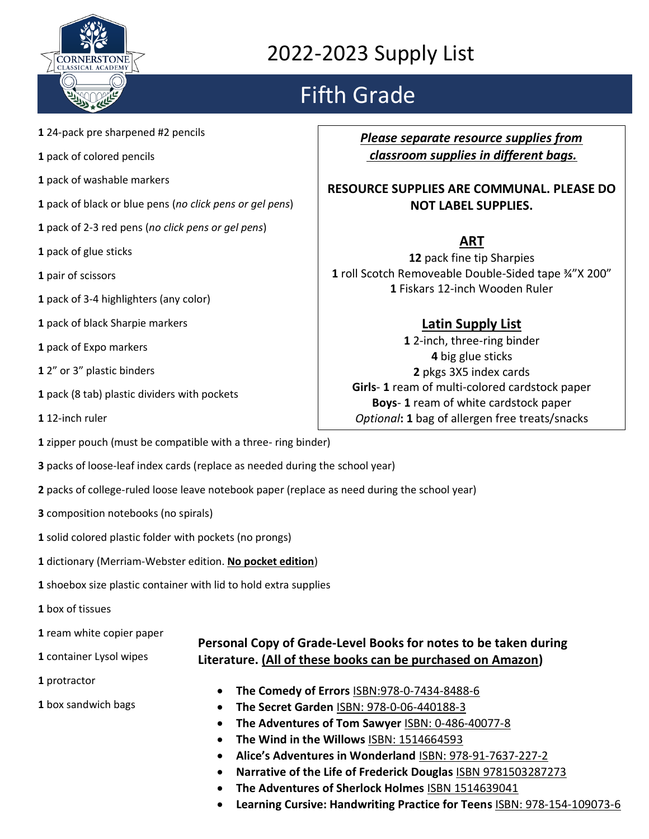

# Fifth Grade

- **1** 24-pack pre sharpened #2 pencils
- **1** pack of colored pencils
- **1** pack of washable markers
- **1** pack of black or blue pens (*no click pens or gel pens*)
- **1** pack of 2-3 red pens (*no click pens or gel pens*)
- **1** pack of glue sticks
- **1** pair of scissors
- **1** pack of 3-4 highlighters (any color)
- **1** pack of black Sharpie markers
- **1** pack of Expo markers
- **1** 2" or 3" plastic binders
- **1** pack (8 tab) plastic dividers with pockets
- **1** 12-inch ruler
- **1** zipper pouch (must be compatible with a three- ring binder)
- **3** packs of loose-leaf index cards (replace as needed during the school year)
- **2** packs of college-ruled loose leave notebook paper (replace as need during the school year)
- **3** composition notebooks (no spirals)
- **1** solid colored plastic folder with pockets (no prongs)
- **1** dictionary (Merriam-Webster edition. **No pocket edition**)
- **1** shoebox size plastic container with lid to hold extra supplies
- **1** box of tissues
- **1** ream white copier paper
- **1** container Lysol wipes
- **1** protractor
- **1** box sandwich bags

*Please separate resource supplies from classroom supplies in different bags.* 

#### **RESOURCE SUPPLIES ARE COMMUNAL. PLEASE DO NOT LABEL SUPPLIES.**

### **ART**

**12** pack fine tip Sharpies **1** roll Scotch Removeable Double-Sided tape ¾"X 200" **1** Fiskars 12-inch Wooden Ruler

### **Latin Supply List**

**1** 2-inch, three-ring binder **4** big glue sticks **2** pkgs 3X5 index cards **Girls**- **1** ream of multi-colored cardstock paper **Boys**- **1** ream of white cardstock paper *Optional***: 1** bag of allergen free treats/snacks

**Literature. (All of these books can be purchased on Amazon)**

**Personal Copy of Grade-Level Books for notes to be taken during** 

- **The Comedy of Errors** ISBN:978-0-7434-8488-6
- **The Secret Garden** ISBN: 978-0-06-440188-3
- **The Adventures of Tom Sawyer** ISBN: 0-486-40077-8
- **The Wind in the Willows** ISBN: 1514664593
- **Alice's Adventures in Wonderland** ISBN: 978-91-7637-227-2
- **Narrative of the Life of Frederick Douglas** ISBN 9781503287273
- **The Adventures of Sherlock Holmes** ISBN 1514639041
- **Learning Cursive: Handwriting Practice for Teens** ISBN: 978-154-109073-6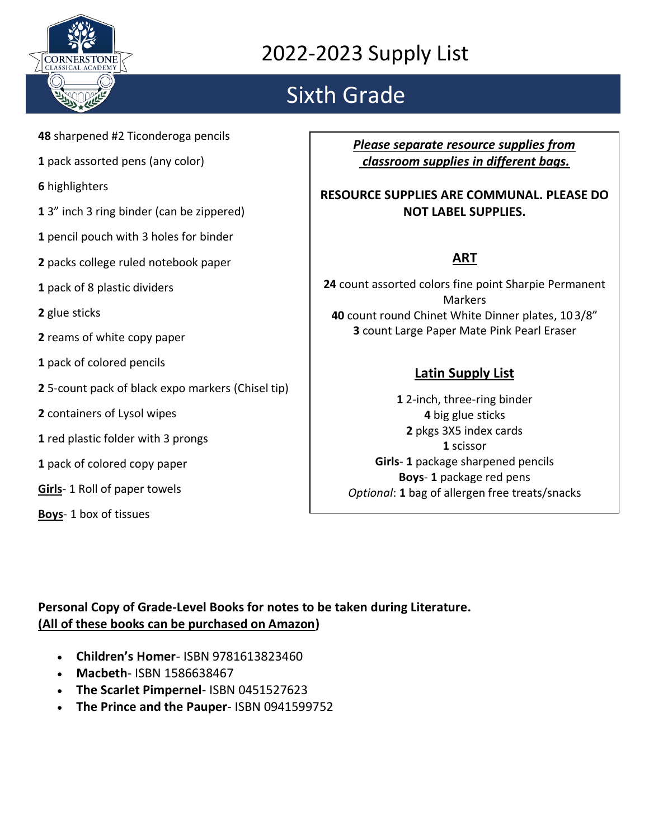

# Sixth Grade

- **48** sharpened #2 Ticonderoga pencils
- **1** pack assorted pens (any color)
- **6** highlighters
- **1** 3" inch 3 ring binder (can be zippered)
- **1** pencil pouch with 3 holes for binder
- **2** packs college ruled notebook paper
- **1** pack of 8 plastic dividers
- **2** glue sticks
- **2** reams of white copy paper
- **1** pack of colored pencils
- **2** 5-count pack of black expo markers (Chisel tip)
- **2** containers of Lysol wipes
- **1** red plastic folder with 3 prongs
- **1** pack of colored copy paper
- **Girls** 1 Roll of paper towels
- **Boys** 1 box of tissues

*Please separate resource supplies from classroom supplies in different bags.* 

#### **RESOURCE SUPPLIES ARE COMMUNAL. PLEASE DO NOT LABEL SUPPLIES.**

### **ART**

 count assorted colors fine point Sharpie Permanent **Markers**  count round Chinet White Dinner plates, 10 3/8" count Large Paper Mate Pink Pearl Eraser

### **Latin Supply List**

**1** 2-inch, three-ring binder **4** big glue sticks **2** pkgs 3X5 index cards **1** scissor **Girls**- **1** package sharpened pencils **Boys**- **1** package red pens *Optional*: **1** bag of allergen free treats/snacks

**Personal Copy of Grade-Level Books for notes to be taken during Literature. (All of these books can be purchased on Amazon)**

- **Children's Homer** ISBN 9781613823460
- **Macbeth** ISBN 1586638467
- **The Scarlet Pimpernel** ISBN 0451527623
- **The Prince and the Pauper** ISBN 0941599752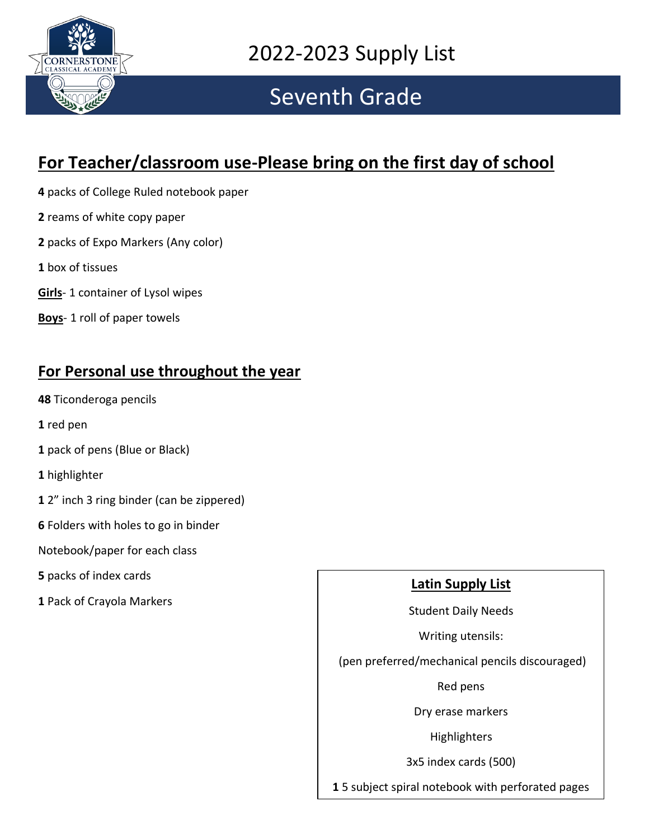

### Seventh Grade

### **For Teacher/classroom use-Please bring on the first day of school**

- **4** packs of College Ruled notebook paper
- **2** reams of white copy paper
- **2** packs of Expo Markers (Any color)
- **1** box of tissues
- **Girls** 1 container of Lysol wipes
- **Boys** 1 roll of paper towels

### **For Personal use throughout the year**

- **48** Ticonderoga pencils
- **1** red pen
- **1** pack of pens (Blue or Black)
- **1** highlighter
- **1** 2" inch 3 ring binder (can be zippered)
- **6** Folders with holes to go in binder
- Notebook/paper for each class
- **5** packs of index cards
- **1** Pack of Crayola Markers

### **Latin Supply List**

Student Daily Needs

Writing utensils:

(pen preferred/mechanical pencils discouraged)

Red pens

Dry erase markers

Highlighters

3x5 index cards (500)

**1** 5 subject spiral notebook with perforated pages